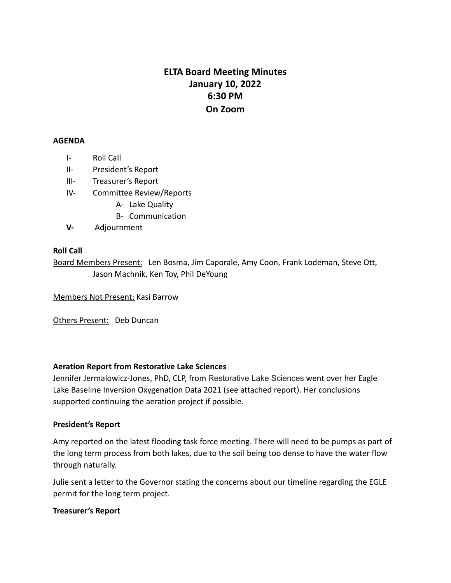# **ELTA Board Meeting Minutes January 10, 2022 6:30 PM On Zoom**

#### **AGENDA**

- I- Roll Call
- II- President's Report
- III- Treasurer's Report
- IV- Committee Review/Reports
	- A- Lake Quality
	- B- Communication
- **V-** Adjournment

### **Roll Call**

Board Members Present: Len Bosma, Jim Caporale, Amy Coon, Frank Lodeman, Steve Ott, Jason Machnik, Ken Toy, Phil DeYoung

Members Not Present: Kasi Barrow

Others Present: Deb Duncan

### **Aeration Report from Restorative Lake Sciences**

Jennifer Jermalowicz-Jones, PhD, CLP, from Restorative Lake Sciences went over her Eagle Lake Baseline Inversion Oxygenation Data 2021 (see attached report). Her conclusions supported continuing the aeration project if possible.

### **President's Report**

Amy reported on the latest flooding task force meeting. There will need to be pumps as part of the long term process from both lakes, due to the soil being too dense to have the water flow through naturally.

Julie sent a letter to the Governor stating the concerns about our timeline regarding the EGLE permit for the long term project.

### **Treasurer's Report**